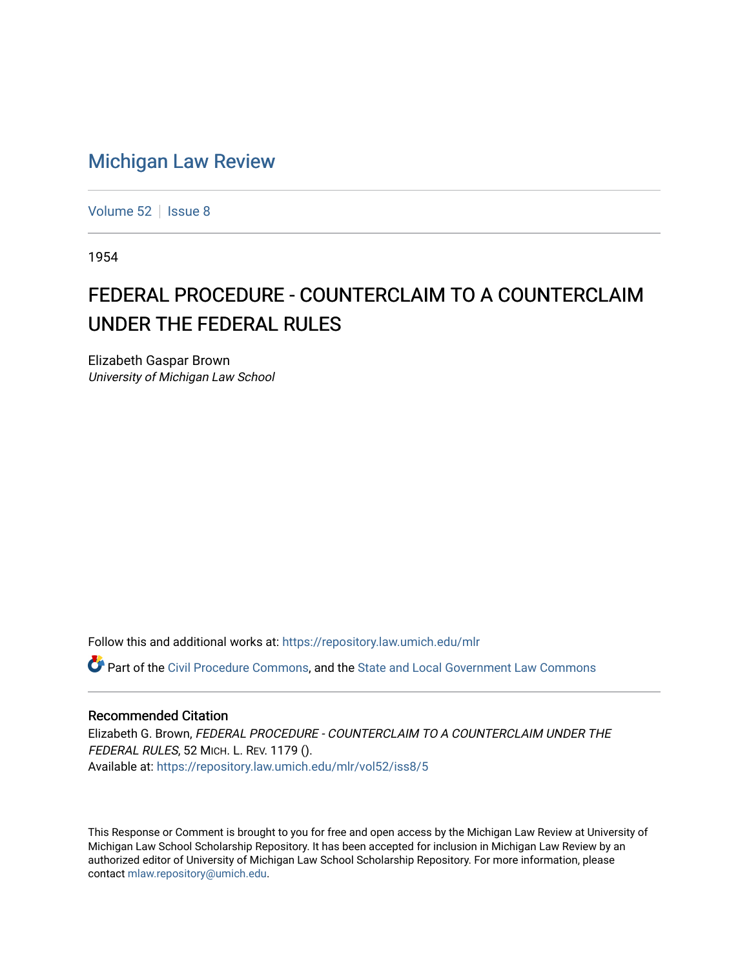## [Michigan Law Review](https://repository.law.umich.edu/mlr)

[Volume 52](https://repository.law.umich.edu/mlr/vol52) | [Issue 8](https://repository.law.umich.edu/mlr/vol52/iss8)

1954

# FEDERAL PROCEDURE - COUNTERCLAIM TO A COUNTERCLAIM UNDER THE FEDERAL RULES

Elizabeth Gaspar Brown University of Michigan Law School

Follow this and additional works at: [https://repository.law.umich.edu/mlr](https://repository.law.umich.edu/mlr?utm_source=repository.law.umich.edu%2Fmlr%2Fvol52%2Fiss8%2F5&utm_medium=PDF&utm_campaign=PDFCoverPages) 

Part of the [Civil Procedure Commons,](http://network.bepress.com/hgg/discipline/584?utm_source=repository.law.umich.edu%2Fmlr%2Fvol52%2Fiss8%2F5&utm_medium=PDF&utm_campaign=PDFCoverPages) and the [State and Local Government Law Commons](http://network.bepress.com/hgg/discipline/879?utm_source=repository.law.umich.edu%2Fmlr%2Fvol52%2Fiss8%2F5&utm_medium=PDF&utm_campaign=PDFCoverPages) 

## Recommended Citation

Elizabeth G. Brown, FEDERAL PROCEDURE - COUNTERCLAIM TO A COUNTERCLAIM UNDER THE FEDERAL RULES, 52 MICH. L. REV. 1179 (). Available at: [https://repository.law.umich.edu/mlr/vol52/iss8/5](https://repository.law.umich.edu/mlr/vol52/iss8/5?utm_source=repository.law.umich.edu%2Fmlr%2Fvol52%2Fiss8%2F5&utm_medium=PDF&utm_campaign=PDFCoverPages)

This Response or Comment is brought to you for free and open access by the Michigan Law Review at University of Michigan Law School Scholarship Repository. It has been accepted for inclusion in Michigan Law Review by an authorized editor of University of Michigan Law School Scholarship Repository. For more information, please contact [mlaw.repository@umich.edu](mailto:mlaw.repository@umich.edu).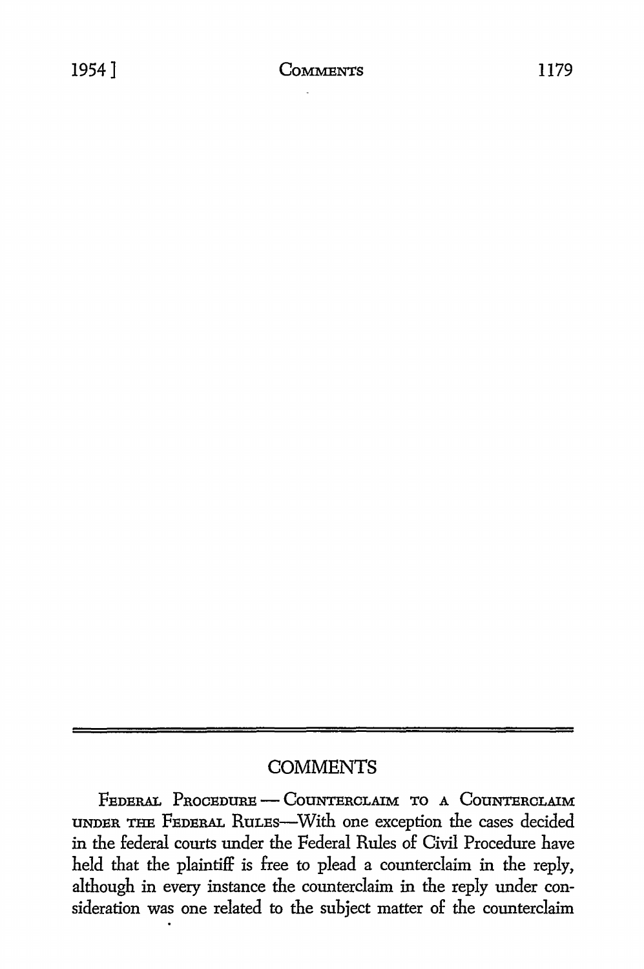## **COMMENTS**

FEDERAL PROCEDURE - COUNTERCLAIM TO A COUNTERCLAIM UNDER THE FEDERAL RULES-With one exception the cases decided in the federal courts under the Federal Rules of Civil Procedure have held that the plaintiff is free to plead a counterclaim in the reply, although in every instance the counterclaim in the reply under consideration was one related to the subject matter of the counterclaim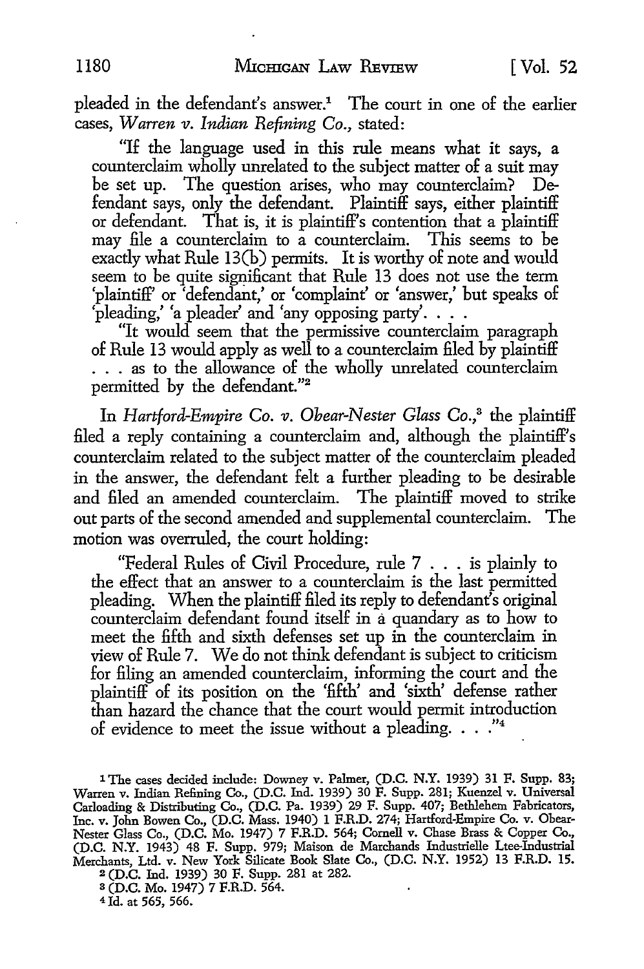pleaded in the defendant's answer.<sup>1</sup> The court in one of the earlier cases, *Warren v. Indian Refining Co.*, stated:

"If the language used in this rule means what it says, a counterclaim wholly unrelated to the subject matter of a suit may be set up. The question arises, who may counterclaim? Defendant says, only the defendant. Plaintiff says, either plaintiff or defendant. That is, it is plaintiff's contention that a plaintiff may file a counterclaim to a counterclaim. This seems to be exactly what Rule 13(b) permits. It is worthy of note and would seem to be quite significant that Rule 13 does not use the term 'plaintiff' or 'defendant,' or 'complaint' or 'answer,' but speaks of  $\Phi$  pleading,' 'a pleader' and 'any opposing party'....

"It would seem that the permissive counterclaim paragraph of Rule 13 would apply as well *to* a counterclaim filed by plaintiff . . . as *to* the allowance of the wholly unrelated counterclaim permitted by the defendant."<sup>2</sup>

In *Hartford-Empire Co. v. Obear-Nester Glass Co.*,<sup>3</sup> the plaintiff filed a reply containing a counterclaim and, although the plaintiff's counterclaim related to the subject matter of the counterclaim pleaded in the answer, the defendant felt a further pleading to be desirable and filed an amended counterclaim. The plaintiff moved to strike out parts of the second amended and supplemental counterclaim. The motion was overruled, the court holding:

"Federal Rules of Civil Procedure, rule 7 . . . is plainly *to*  the effect that an answer to a counterclaim is the last permitted pleading. When the plaintiff filed its reply *to* defendant's original counterclaim defendant found itself in a quandary as to how to meet the fifth and sixth defenses set up in the counterclaim in view of Rule 7. We do not think defendant is subject to criticism for filing an amended counterclaim, informing the court and the plaintiff of its position on the 'fifth' and 'sixth' defense rather than hazard the chance that the court would permit introduction of evidence to meet the issue without a pleading. . . ."<sup>4</sup>

1 The cases decided include: Downey v. Palmer, (D.C. N.Y. 1939) 31 F. Supp. 83; Warren v. Indian Refining Co., (D.C. Ind. 1939) 30 F. Supp. 281; Kuenzel v. Universal Carloading & Distributing Co., (D.C. Pa. 1939) 29 F. Supp. 407; Bethlehem Fabricators, Inc. v. John Bowen Co., (D.C. Mass. 1940) 1 F.R.D. 274; Hartford-Empire Co. v. Obear-Nester Glass Co., (D.C. Mo. 1947) 7 F.R.D. 564; Cornell v. Chase Brass & Copper Co., (D.C. N.Y. 1943) 48 F. Supp. 979; Maison de Marchands Industrielle Ltee-Industrial Merchants, Ltd. v. New York Silicate Book Slate Co., (D.C. N.Y. 1952) 13 F.R.D. 15. <sup>2</sup>(D.C. Ind. 1939) 30 F. Supp. 281 at 282.

s (D.C. Mo. 1947) 7 F.R.D. 564.

4 Id. at 565, 566.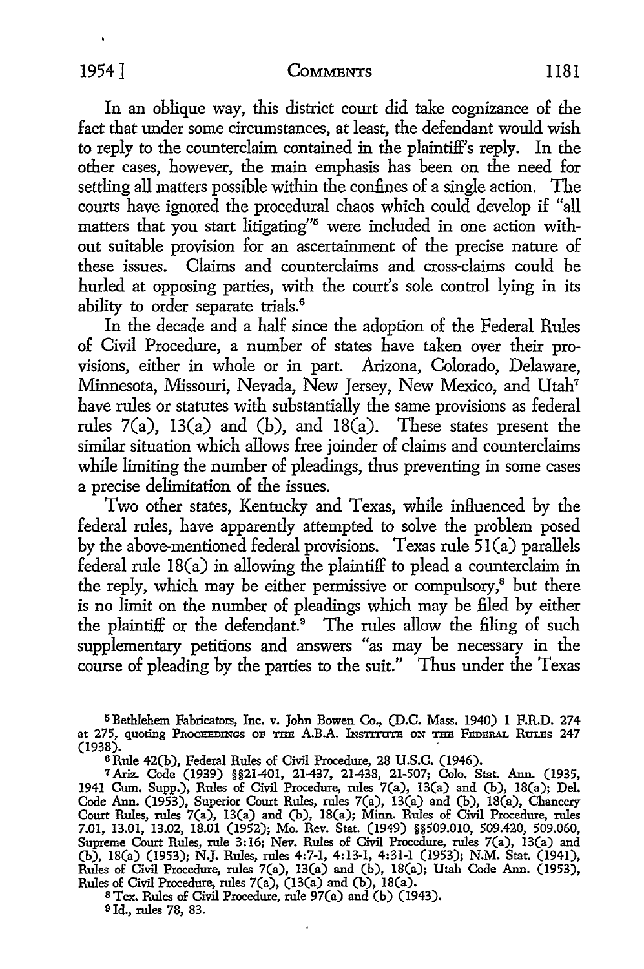### 1954] **CoMMENTS** 1181

In an oblique way, this district court did take cognizance of the fact that under some circumstances, at least, the defendant would wish to reply to the counterclaim contained in the plaintiff's reply. In the other cases, however, the main emphasis has been on the need for settling all matters possible within the confines of a single action. The courts have ignored the procedural chaos which could develop if "all matters that you start litigating"<sup>5</sup> were included in one action without suitable provision for an ascertainment of the precise nature of these issues. Claims and counterclaims and cross-claims could be hurled at opposing parties, with the court's sole control lying in its ability to order separate trials.<sup>6</sup>

In the decade and a half since the adoption of the Federal Rules of Civil Procedure, a number of states have taken over their provisions, either in whole or in part. Arizona, Colorado, Delaware, Minnesota, Missouri, Nevada, New Jersey, New Mexico, and Utah<sup>7</sup> have rules or statutes with substantially the same provisions as federal rules 7(a), 13(a) and (b), and 18 $(a)$ . These states present the similar situation which allows free joinder of claims and counterclaims while limiting the number of pleadings, thus preventing in some cases a precise delimitation of the issues.

Two other states, Kentucky and Texas, while influenced by the federal rules, have apparently attempted to solve the problem posed by the above-mentioned federal provisions. Texas rule 51(a) parallels federal rule 18(a) in allowing the plaintiff to plead a counterclaim in the reply, which may be either permissive or compulsory,<sup>8</sup> but there is no limit on the number of pleadings which may be filed by either the plaintiff or the defendant.<sup>9</sup> The rules allow the filing of such supplementary petitions and answers "as may be necessary in the course of pleading by the parties to the suit." Thus under the Texas

<sup>5</sup> Bethlehem Fabricators, Inc. v. John Bowen Co., (D.C. Mass. 1940) 1 F.R.D. 274 at 275, quoting Proceedings of the A.B.A. INSTITUTE ON THE FEDERAL RULES 247<br>(1938). (1938). .

6 Rule 42(b), Federal Rules of Civil Procedure, 28 U.S.C. (1946).

<sup>7</sup>Ariz. Code (1939) §§21-401, 21-437, 21-438, 21-507; Colo. Stat. Ann. (1935, 1941 Cum. Supp.), Rules of Civil Procedure, rules 7(a), 13(a) and (b), IB(a); Del. Code Ann. (1953), Superior Court Rules, rules 7(a), 13(a) and (b), 18(a), Chancery Court Rules, rules 7(a), 13(a) and (b), 18(a); Minn. Rules of Civil Procedure, rules 7.01, 13.01, 13.02, 18.01 (1952); Mo. Rev. Stat. (1949) §§509.010, 509.420, 509.060, Supreme Court Rules, rule 3:16; Nev. Rules of Civil Procedure, rules 7(a), 13(a) and (b), IB(a) (1953); N.J. Rules, rules 4:7-1, 4:13-1, 4:31-1 (1953); N.M. Stat. (1941), Rules of Civil Procedure, rules 7(a), 13(a) and (b), IB(a); Utah Code Ann. (1953), Rules of Civil Procedure, rules 7(a), (13(a) and (b), 18(a).

BTex. Rules of Civil Procedure, rule 97(a) and (b) (1943). 9 Id., rules 78, 83.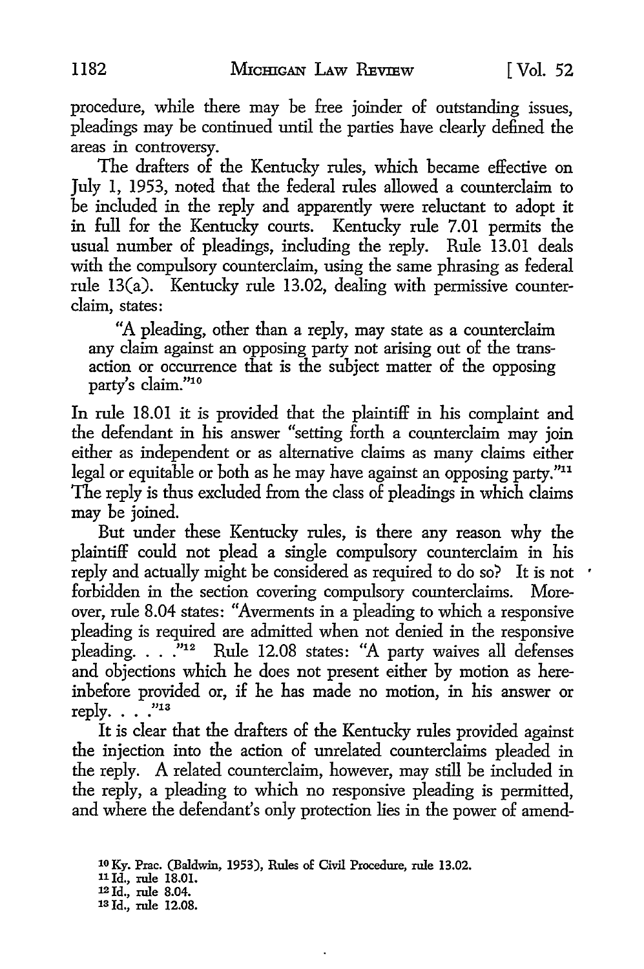procedure, while there may be free joinder of outstanding issues, pleadings may be continued until the parties have clearly defined the areas in controversy.

The drafters of the Kentucky rules, which became effective on July I, 1953, noted that the federal rules allowed a counterclaim to be included in the reply and apparently were reluctant to adopt it in full for the Kentucky courts. Kentucky rule 7.01 permits the usual number of pleadings, including the reply. Rule 13.01 deals with the compulsory counterclaim, using the same phrasing as federal rule 13(a). Kentucky rule 13.02, dealing with permissive counterclaim, states:

"A pleading, other than a reply, may state as a counterclaim any claim against an opposing party not arising out of the transaction or occurrence that is the subject matter of the opposing party's claim. "10

In rule 18.01 it is provided that the plaintiff in his complaint and the defendant in his answer "setting forth a counterclaim may join either as independent or as alternative claims as many claims either legal or equitable or both as he may have against an opposing party."<sup>11</sup> The reply is thus excluded from the class of pleadings in which claims may be joined.

But under these Kentucky rules, is there any reason why the plaintiff could not plead a single compulsory counterclaim in his reply and actually might be considered as required to do so? It is not forbidden in the section covering compulsory counterclaims. Moreover, rule 8.04 states: "Averments in a pleading to which a responsive pleading is required are admitted when not denied in the responsive pleading.  $\ldots$  ."<sup>12</sup> Rule 12.08 states: "A party waives all defenses and objections which he does not present either by motion as hereinbefore provided or, if he has made no motion, in his answer or reply.  $\ldots$  ."13

It is clear that the drafters of the Kentucky rules provided against the injection into the action of unrelated counterclaims pleaded in the reply. A related counterclaim, however, may still be included in the reply, a pleading to which no responsive pleading is permitted, and where the defendant's only protection lies in the power of amend-

11 Id., rule 18.01.

<sup>10</sup> Ky. Prac. (Baldwin, 1953), Rules of Civil Procedure, rule 13.02.

<sup>12</sup> Id., rule 8.04. 13 Id., rule 12.08.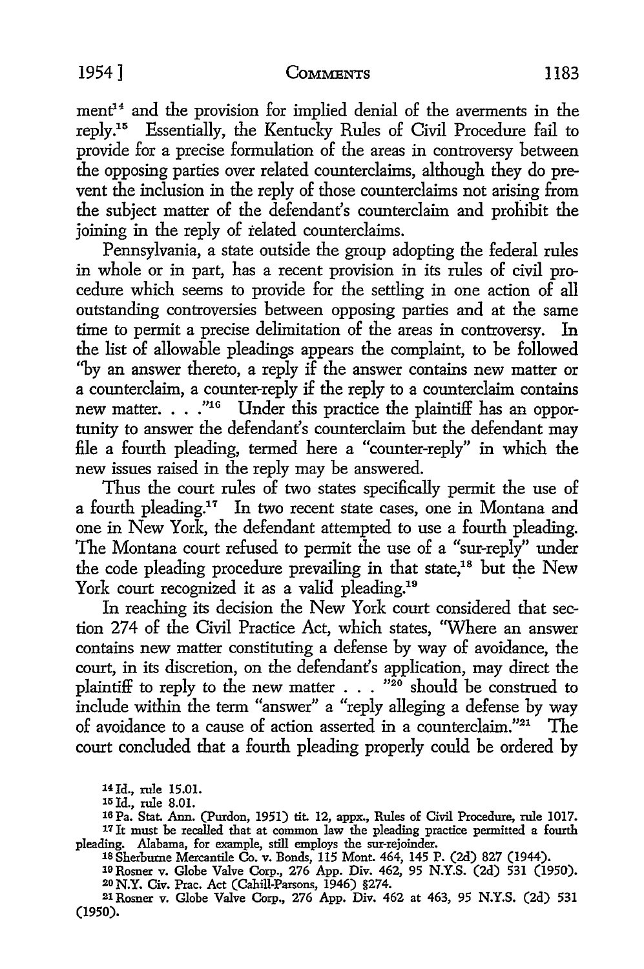### 1954] COMMENTS 1183

 $ment<sup>14</sup>$  and the provision for implied denial of the averments in the reply.15 Essentially, the Kentucky Rules of Civil Procedure fail to provide for a precise formulation of the areas in controversy between the opposing parties over related counterclaims, although they do prevent the inclusion in the reply of those counterclaims not arising from the subject matter of the defendant's counterclaim and prohibit the joining in the reply of related counterclaims.

Pennsylvania, a state outside the group adopting the federal rules in whole or in part, has a recent provision in its rules of civil procedure which seems to provide for the settling in one action of all outstanding controversies between opposing parties and at the same time to permit a precise delimitation of the areas in controversy. In the list of allowable pleadings appears the complaint, to be followed ''by an answer thereto, a reply if the answer contains new matter or a counterclaim, a counter-reply if the reply to a counterclaim contains new matter. . . . "<sup>16</sup> Under this practice the plaintiff has an opportunity to answer the defendant's counterclaim but the defendant may file a fourth pleading, termed here a "counter-reply" in which the new issues raised in the reply may be answered.

Thus the court rules of two states specifically permit the use of a fourth pleading.<sup>17</sup> In two recent state cases, one in Montana and one in New York, the defendant attempted to use a fourth pleading. The Montana court refused to permit the use of a "sur-reply" under the code pleading procedure prevailing in that state,<sup>18</sup> but the New York court recognized it as a valid pleading.<sup>19</sup>

In reaching its decision the New York court considered that section 274 of the Civil Practice Act, which states, "Where an answer contains new matter constituting a defense by way of avoidance, the court, in its discretion, on the defendant's application, may direct the plaintiff to reply to the new matter  $\ldots$  "20 should be construed to include within the term "answer" a "reply alleging a defense by way of avoidance to a cause of action asserted in a counterclaim."21 The court concluded that a fourth pleading properly could be ordered by

14 Id., rule 15.01.

15 Id., rule 8.01.

16Pa. Stat. Ann. (Purdon, 1951) tit. 12, appx., Rules of Civil Procedure, rule 1017. 17 It must be recalled that at common law the pleading practice permitted a fourth pleading. Alabama, for example, still employs the sur-rejoinder.

18 Sherburne Mercantile Co. v. Bonds, 115 Mont. 464, 145 P. (2d) 827 (1944).

19 Rosner v. Globe Valve Corp., 276 App. Div. 462, 95 N.Y.S. (2d) 531 (1950). 20 N.Y. Civ. Prac. Act (Cahill-Parsons, 1946) §274.

21 Rosner v. Globe Valve Corp., 276 App. Div. 462 at 463, 95 N.Y.S. (2d) 531 (1950).